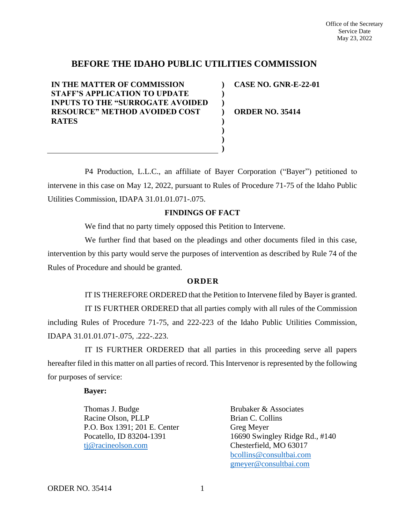## **BEFORE THE IDAHO PUBLIC UTILITIES COMMISSION**

**) ) ) ) ) ) ) )**

**IN THE MATTER OF COMMISSION STAFF'S APPLICATION TO UPDATE INPUTS TO THE "SURROGATE AVOIDED RESOURCE" METHOD AVOIDED COST RATES**

**CASE NO. GNR-E-22-01**

**ORDER NO. 35414**

P4 Production, L.L.C., an affiliate of Bayer Corporation ("Bayer") petitioned to intervene in this case on May 12, 2022, pursuant to Rules of Procedure 71-75 of the Idaho Public Utilities Commission, IDAPA 31.01.01.071-.075.

## **FINDINGS OF FACT**

We find that no party timely opposed this Petition to Intervene.

We further find that based on the pleadings and other documents filed in this case, intervention by this party would serve the purposes of intervention as described by Rule 74 of the Rules of Procedure and should be granted.

## **O R D E R**

IT IS THEREFORE ORDERED that the Petition to Intervene filed by Bayer is granted. IT IS FURTHER ORDERED that all parties comply with all rules of the Commission including Rules of Procedure 71-75, and 222-223 of the Idaho Public Utilities Commission, IDAPA 31.01.01.071-.075, .222-.223.

IT IS FURTHER ORDERED that all parties in this proceeding serve all papers hereafter filed in this matter on all parties of record. This Intervenor is represented by the following for purposes of service:

## **Bayer:**

Thomas J. Budge Racine Olson, PLLP P.O. Box 1391; 201 E. Center Pocatello, ID 83204-1391 [tj@racineolson.com](mailto:tj@racineolson.com)

Brubaker & Associates Brian C. Collins Greg Meyer 16690 Swingley Ridge Rd., #140 Chesterfield, MO 63017 [bcollins@consultbai.com](mailto:bcollins@consultbai.com) [gmeyer@consultbai.com](mailto:gmeyer@consultbai.com)